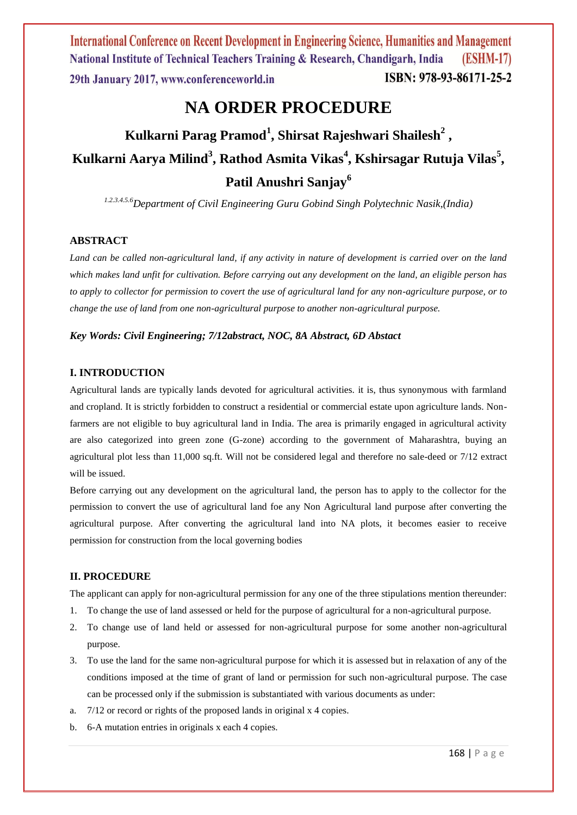# **NA ORDER PROCEDURE**

# **Kulkarni Parag Pramod<sup>1</sup> , Shirsat Rajeshwari Shailesh<sup>2</sup> , Kulkarni Aarya Milind<sup>3</sup> , Rathod Asmita Vikas<sup>4</sup> , Kshirsagar Rutuja Vilas<sup>5</sup> , Patil Anushri Sanjay<sup>6</sup>**

*1.2.3.4.5.6Department of Civil Engineering Guru Gobind Singh Polytechnic Nasik,(India)*

# **ABSTRACT**

*Land can be called non-agricultural land, if any activity in nature of development is carried over on the land which makes land unfit for cultivation. Before carrying out any development on the land, an eligible person has to apply to collector for permission to covert the use of agricultural land for any non-agriculture purpose, or to change the use of land from one non-agricultural purpose to another non-agricultural purpose.*

# *Key Words: Civil Engineering; 7/12abstract, NOC, 8A Abstract, 6D Abstact*

### **I. INTRODUCTION**

Agricultural lands are typically lands devoted for agricultural activities. it is, thus synonymous with farmland and cropland. It is strictly forbidden to construct a residential or commercial estate upon agriculture lands. Nonfarmers are not eligible to buy agricultural land in India. The area is primarily engaged in agricultural activity are also categorized into green zone (G-zone) according to the government of Maharashtra, buying an agricultural plot less than 11,000 sq.ft. Will not be considered legal and therefore no sale-deed or 7/12 extract will be issued.

Before carrying out any development on the agricultural land, the person has to apply to the collector for the permission to convert the use of agricultural land foe any Non Agricultural land purpose after converting the agricultural purpose. After converting the agricultural land into NA plots, it becomes easier to receive permission for construction from the local governing bodies

# **II. PROCEDURE**

The applicant can apply for non-agricultural permission for any one of the three stipulations mention thereunder:

- 1. To change the use of land assessed or held for the purpose of agricultural for a non-agricultural purpose.
- 2. To change use of land held or assessed for non-agricultural purpose for some another non-agricultural purpose.
- 3. To use the land for the same non-agricultural purpose for which it is assessed but in relaxation of any of the conditions imposed at the time of grant of land or permission for such non-agricultural purpose. The case can be processed only if the submission is substantiated with various documents as under:
- a. 7/12 or record or rights of the proposed lands in original x 4 copies.
- b. 6-A mutation entries in originals x each 4 copies.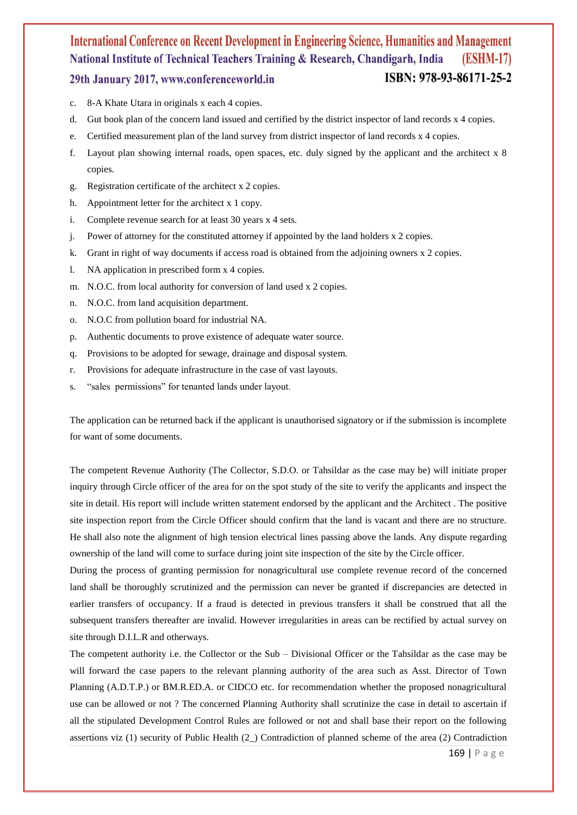- c. 8-A Khate Utara in originals x each 4 copies.
- d. Gut book plan of the concern land issued and certified by the district inspector of land records x 4 copies.
- e. Certified measurement plan of the land survey from district inspector of land records x 4 copies.
- f. Layout plan showing internal roads, open spaces, etc. duly signed by the applicant and the architect x 8 copies.
- g. Registration certificate of the architect x 2 copies.
- h. Appointment letter for the architect x 1 copy.
- i. Complete revenue search for at least 30 years x 4 sets.
- j. Power of attorney for the constituted attorney if appointed by the land holders x 2 copies.
- k. Grant in right of way documents if access road is obtained from the adjoining owners x 2 copies.
- l. NA application in prescribed form x 4 copies.
- m. N.O.C. from local authority for conversion of land used x 2 copies.
- n. N.O.C. from land acquisition department.
- o. N.O.C from pollution board for industrial NA.
- p. Authentic documents to prove existence of adequate water source.
- q. Provisions to be adopted for sewage, drainage and disposal system.
- r. Provisions for adequate infrastructure in the case of vast layouts.
- s. "sales permissions" for tenanted lands under layout.

The application can be returned back if the applicant is unauthorised signatory or if the submission is incomplete for want of some documents.

The competent Revenue Authority (The Collector, S.D.O. or Tahsildar as the case may be) will initiate proper inquiry through Circle officer of the area for on the spot study of the site to verify the applicants and inspect the site in detail. His report will include written statement endorsed by the applicant and the Architect . The positive site inspection report from the Circle Officer should confirm that the land is vacant and there are no structure. He shall also note the alignment of high tension electrical lines passing above the lands. Any dispute regarding ownership of the land will come to surface during joint site inspection of the site by the Circle officer.

During the process of granting permission for nonagricultural use complete revenue record of the concerned land shall be thoroughly scrutinized and the permission can never be granted if discrepancies are detected in earlier transfers of occupancy. If a fraud is detected in previous transfers it shall be construed that all the subsequent transfers thereafter are invalid. However irregularities in areas can be rectified by actual survey on site through D.I.L.R and otherways.

The competent authority i.e. the Collector or the Sub – Divisional Officer or the Tahsildar as the case may be will forward the case papers to the relevant planning authority of the area such as Asst. Director of Town Planning (A.D.T.P.) or BM.R.ED.A. or CIDCO etc. for recommendation whether the proposed nonagricultural use can be allowed or not ? The concerned Planning Authority shall scrutinize the case in detail to ascertain if all the stipulated Development Control Rules are followed or not and shall base their report on the following assertions viz (1) security of Public Health (2\_) Contradiction of planned scheme of the area (2) Contradiction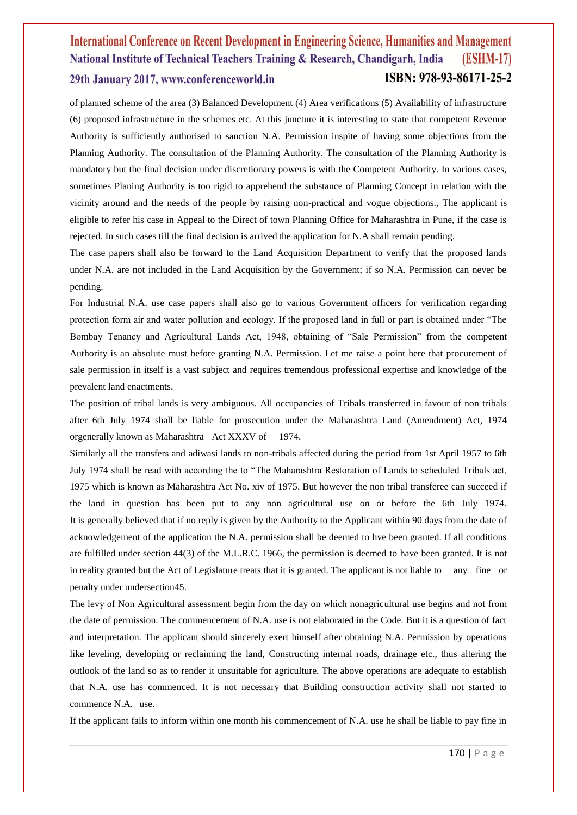of planned scheme of the area (3) Balanced Development (4) Area verifications (5) Availability of infrastructure (6) proposed infrastructure in the schemes etc. At this juncture it is interesting to state that competent Revenue Authority is sufficiently authorised to sanction N.A. Permission inspite of having some objections from the Planning Authority. The consultation of the Planning Authority. The consultation of the Planning Authority is mandatory but the final decision under discretionary powers is with the Competent Authority. In various cases, sometimes Planing Authority is too rigid to apprehend the substance of Planning Concept in relation with the vicinity around and the needs of the people by raising non-practical and vogue objections., The applicant is eligible to refer his case in Appeal to the Direct of town Planning Office for Maharashtra in Pune, if the case is rejected. In such cases till the final decision is arrived the application for N.A shall remain pending.

The case papers shall also be forward to the Land Acquisition Department to verify that the proposed lands under N.A. are not included in the Land Acquisition by the Government; if so N.A. Permission can never be pending.

For Industrial N.A. use case papers shall also go to various Government officers for verification regarding protection form air and water pollution and ecology. If the proposed land in full or part is obtained under "The Bombay Tenancy and Agricultural Lands Act, 1948, obtaining of "Sale Permission" from the competent Authority is an absolute must before granting N.A. Permission. Let me raise a point here that procurement of sale permission in itself is a vast subject and requires tremendous professional expertise and knowledge of the prevalent land enactments.

The position of tribal lands is very ambiguous. All occupancies of Tribals transferred in favour of non tribals after 6th July 1974 shall be liable for prosecution under the Maharashtra Land (Amendment) Act, 1974 orgenerally known as Maharashtra Act XXXV of 1974.

Similarly all the transfers and adiwasi lands to non-tribals affected during the period from 1st April 1957 to 6th July 1974 shall be read with according the to "The Maharashtra Restoration of Lands to scheduled Tribals act, 1975 which is known as Maharashtra Act No. xiv of 1975. But however the non tribal transferee can succeed if the land in question has been put to any non agricultural use on or before the 6th July 1974. It is generally believed that if no reply is given by the Authority to the Applicant within 90 days from the date of acknowledgement of the application the N.A. permission shall be deemed to hve been granted. If all conditions are fulfilled under section 44(3) of the M.L.R.C. 1966, the permission is deemed to have been granted. It is not in reality granted but the Act of Legislature treats that it is granted. The applicant is not liable to any fine or penalty under undersection45.

The levy of Non Agricultural assessment begin from the day on which nonagricultural use begins and not from the date of permission. The commencement of N.A. use is not elaborated in the Code. But it is a question of fact and interpretation. The applicant should sincerely exert himself after obtaining N.A. Permission by operations like leveling, developing or reclaiming the land, Constructing internal roads, drainage etc., thus altering the outlook of the land so as to render it unsuitable for agriculture. The above operations are adequate to establish that N.A. use has commenced. It is not necessary that Building construction activity shall not started to commence N.A. use.

If the applicant fails to inform within one month his commencement of N.A. use he shall be liable to pay fine in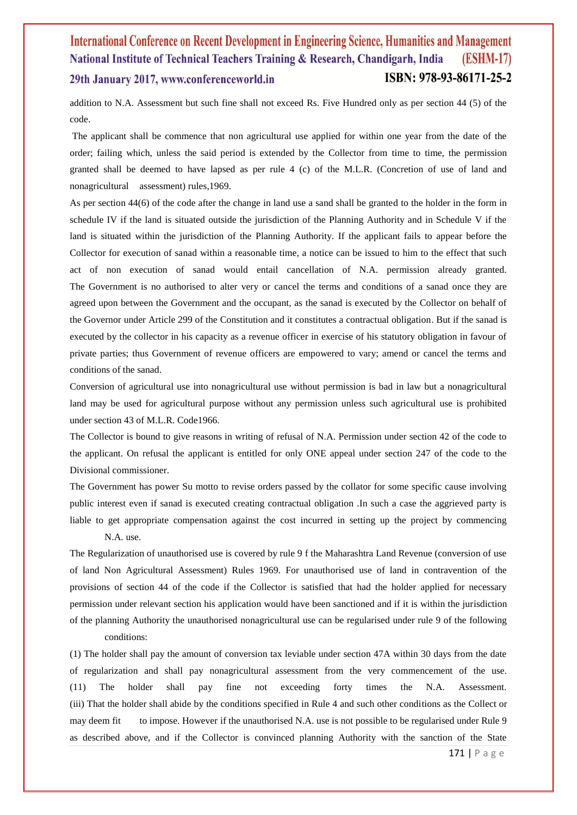addition to N.A. Assessment but such fine shall not exceed Rs. Five Hundred only as per section 44 (5) of the code.

The applicant shall be commence that non agricultural use applied for within one year from the date of the order; failing which, unless the said period is extended by the Collector from time to time, the permission granted shall be deemed to have lapsed as per rule 4 (c) of the M.L.R. (Concretion of use of land and nonagricultural assessment) rules,1969.

As per section 44(6) of the code after the change in land use a sand shall be granted to the holder in the form in schedule IV if the land is situated outside the jurisdiction of the Planning Authority and in Schedule V if the land is situated within the jurisdiction of the Planning Authority. If the applicant fails to appear before the Collector for execution of sanad within a reasonable time, a notice can be issued to him to the effect that such act of non execution of sanad would entail cancellation of N.A. permission already granted. The Government is no authorised to alter very or cancel the terms and conditions of a sanad once they are agreed upon between the Government and the occupant, as the sanad is executed by the Collector on behalf of the Governor under Article 299 of the Constitution and it constitutes a contractual obligation. But if the sanad is executed by the collector in his capacity as a revenue officer in exercise of his statutory obligation in favour of private parties; thus Government of revenue officers are empowered to vary; amend or cancel the terms and conditions of the sanad.

Conversion of agricultural use into nonagricultural use without permission is bad in law but a nonagricultural land may be used for agricultural purpose without any permission unless such agricultural use is prohibited under section 43 of M.L.R. Code1966.

The Collector is bound to give reasons in writing of refusal of N.A. Permission under section 42 of the code to the applicant. On refusal the applicant is entitled for only ONE appeal under section 247 of the code to the Divisional commissioner.

The Government has power Su motto to revise orders passed by the collator for some specific cause involving public interest even if sanad is executed creating contractual obligation .In such a case the aggrieved party is liable to get appropriate compensation against the cost incurred in setting up the project by commencing N.A. use.

The Regularization of unauthorised use is covered by rule 9 f the Maharashtra Land Revenue (conversion of use of land Non Agricultural Assessment) Rules 1969. For unauthorised use of land in contravention of the provisions of section 44 of the code if the Collector is satisfied that had the holder applied for necessary permission under relevant section his application would have been sanctioned and if it is within the jurisdiction of the planning Authority the unauthorised nonagricultural use can be regularised under rule 9 of the following conditions:

(1) The holder shall pay the amount of conversion tax leviable under section 47A within 30 days from the date of regularization and shall pay nonagricultural assessment from the very commencement of the use. (11) The holder shall pay fine not exceeding forty times the N.A. Assessment. (iii) That the holder shall abide by the conditions specified in Rule 4 and such other conditions as the Collect or may deem fit to impose. However if the unauthorised N.A. use is not possible to be regularised under Rule 9 as described above, and if the Collector is convinced planning Authority with the sanction of the State